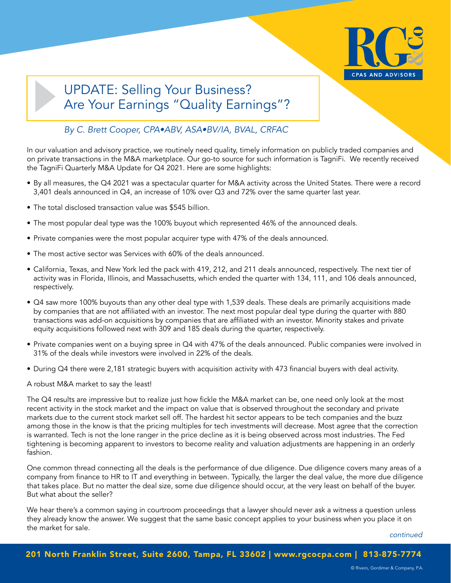

# UPDATE: Selling Your Business? Are Your Earnings "Quality Earnings"?

## *By C. Brett Cooper, CPA•ABV, ASA•BV/IA, BVAL, CRFAC*

In our valuation and advisory practice, we routinely need quality, timely information on publicly traded companies and on private transactions in the M&A marketplace. Our go-to source for such information is TagniFi. We recently received the TagniFi Quarterly M&A Update for Q4 2021. Here are some highlights:

- By all measures, the Q4 2021 was a spectacular quarter for M&A activity across the United States. There were a record 3,401 deals announced in Q4, an increase of 10% over Q3 and 72% over the same quarter last year.
- The total disclosed transaction value was \$545 billion.
- The most popular deal type was the 100% buyout which represented 46% of the announced deals.
- Private companies were the most popular acquirer type with 47% of the deals announced.
- The most active sector was Services with 60% of the deals announced.
- California, Texas, and New York led the pack with 419, 212, and 211 deals announced, respectively. The next tier of activity was in Florida, Illinois, and Massachusetts, which ended the quarter with 134, 111, and 106 deals announced, respectively.
- Q4 saw more 100% buyouts than any other deal type with 1,539 deals. These deals are primarily acquisitions made by companies that are not affiliated with an investor. The next most popular deal type during the quarter with 880 transactions was add-on acquisitions by companies that are affiliated with an investor. Minority stakes and private equity acquisitions followed next with 309 and 185 deals during the quarter, respectively.
- Private companies went on a buying spree in Q4 with 47% of the deals announced. Public companies were involved in 31% of the deals while investors were involved in 22% of the deals.
- During Q4 there were 2,181 strategic buyers with acquisition activity with 473 financial buyers with deal activity.

A robust M&A market to say the least!

The Q4 results are impressive but to realize just how fickle the M&A market can be, one need only look at the most recent activity in the stock market and the impact on value that is observed throughout the secondary and private markets due to the current stock market sell off. The hardest hit sector appears to be tech companies and the buzz among those in the know is that the pricing multiples for tech investments will decrease. Most agree that the correction is warranted. Tech is not the lone ranger in the price decline as it is being observed across most industries. The Fed tightening is becoming apparent to investors to become reality and valuation adjustments are happening in an orderly fashion.

One common thread connecting all the deals is the performance of due diligence. Due diligence covers many areas of a company from finance to HR to IT and everything in between. Typically, the larger the deal value, the more due diligence that takes place. But no matter the deal size, some due diligence should occur, at the very least on behalf of the buyer. But what about the seller?

We hear there's a common saying in courtroom proceedings that a lawyer should never ask a witness a question unless they already know the answer. We suggest that the same basic concept applies to your business when you place it on the market for sale.

*continued*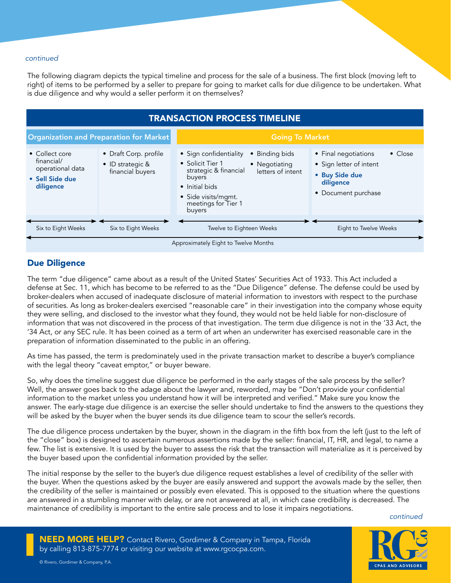#### *continued*

The following diagram depicts the typical timeline and process for the sale of a business. The first block (moving left to right) of items to be performed by a seller to prepare for going to market calls for due diligence to be undertaken. What is due diligence and why would a seller perform it on themselves?



### Due Diligence

The term "due diligence" came about as a result of the United States' Securities Act of 1933. This Act included a defense at Sec. 11, which has become to be referred to as the "Due Diligence" defense. The defense could be used by broker-dealers when accused of inadequate disclosure of material information to investors with respect to the purchase of securities. As long as broker-dealers exercised "reasonable care" in their investigation into the company whose equity they were selling, and disclosed to the investor what they found, they would not be held liable for non-disclosure of information that was not discovered in the process of that investigation. The term due diligence is not in the '33 Act, the '34 Act, or any SEC rule. It has been coined as a term of art when an underwriter has exercised reasonable care in the preparation of information disseminated to the public in an offering.

As time has passed, the term is predominately used in the private transaction market to describe a buyer's compliance with the legal theory "caveat emptor," or buyer beware.

So, why does the timeline suggest due diligence be performed in the early stages of the sale process by the seller? Well, the answer goes back to the adage about the lawyer and, reworded, may be "Don't provide your confidential information to the market unless you understand how it will be interpreted and verified." Make sure you know the answer. The early-stage due diligence is an exercise the seller should undertake to find the answers to the questions they will be asked by the buyer when the buyer sends its due diligence team to scour the seller's records.

The due diligence process undertaken by the buyer, shown in the diagram in the fifth box from the left (just to the left of the "close" box) is designed to ascertain numerous assertions made by the seller: financial, IT, HR, and legal, to name a few. The list is extensive. It is used by the buyer to assess the risk that the transaction will materialize as it is perceived by the buyer based upon the confidential information provided by the seller.

The initial response by the seller to the buyer's due diligence request establishes a level of credibility of the seller with the buyer. When the questions asked by the buyer are easily answered and support the avowals made by the seller, then the credibility of the seller is maintained or possibly even elevated. This is opposed to the situation where the questions are answered in a stumbling manner with delay, or are not answered at all, in which case credibility is decreased. The maintenance of credibility is important to the entire sale process and to lose it impairs negotiations.

*continued*

NEED MORE HELP? Contact Rivero, Gordimer & Company in Tampa, Florida by calling 813-875-7774 or visiting our website at www.rgcocpa.com.